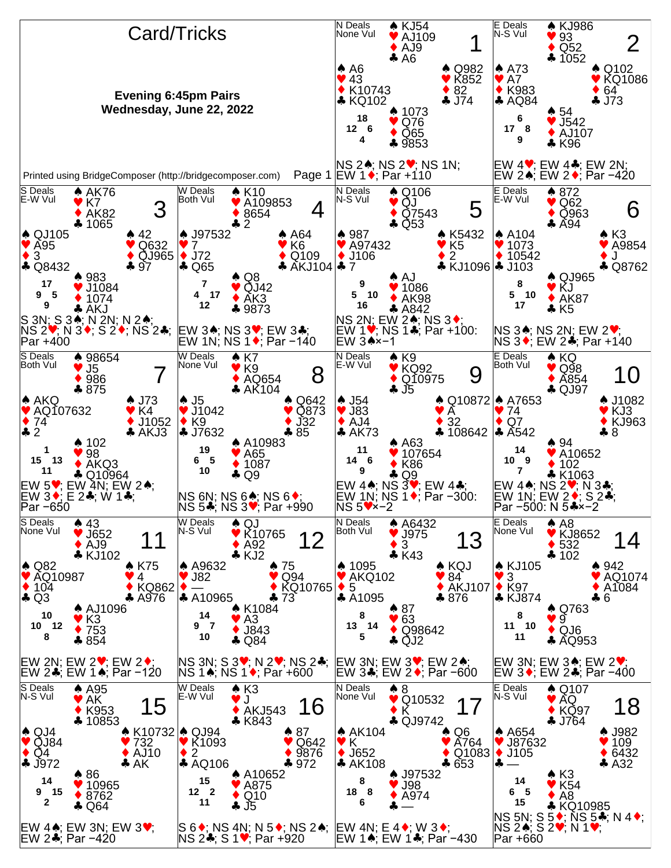